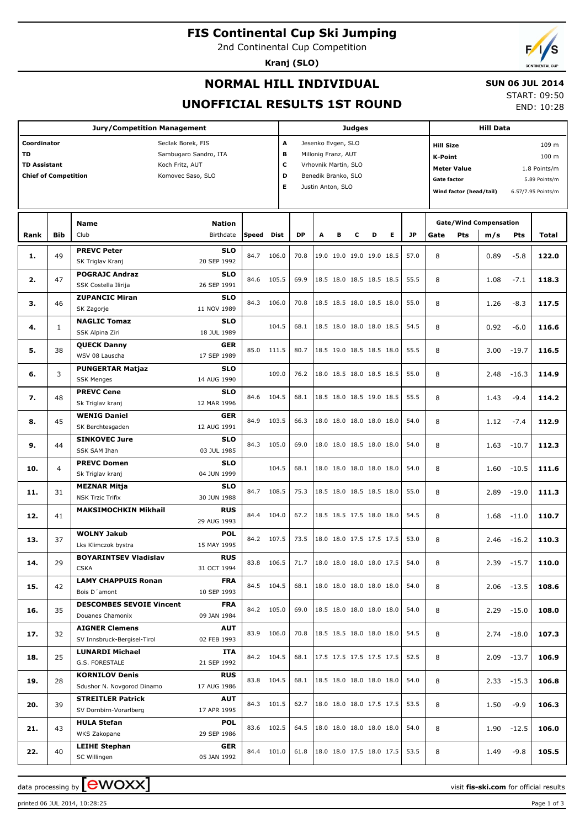**FIS Continental Cup Ski Jumping**

2nd Continental Cup Competition

**Kranj (SLO)**



## **NORMAL HILL INDIVIDUAL**

## **SUN 06 JUL 2014**

**UNOFFICIAL RESULTS 1ST ROUND**

START: 09:50 END: 10:28

|                                                                                                                                                                      |                | <b>Jury/Competition Management</b>                                    |                                          |       |                        |              |                                                                                                               |   | Judges |                                                      |                                                                                                                                                                             | <b>Hill Data</b>                             |      |                                |                |
|----------------------------------------------------------------------------------------------------------------------------------------------------------------------|----------------|-----------------------------------------------------------------------|------------------------------------------|-------|------------------------|--------------|---------------------------------------------------------------------------------------------------------------|---|--------|------------------------------------------------------|-----------------------------------------------------------------------------------------------------------------------------------------------------------------------------|----------------------------------------------|------|--------------------------------|----------------|
| Coordinator<br>Sedlak Borek, FIS<br><b>TD</b><br>Sambugaro Sandro, ITA<br><b>TD Assistant</b><br>Koch Fritz, AUT<br><b>Chief of Competition</b><br>Komovec Saso, SLO |                |                                                                       |                                          |       | A<br>в<br>с<br>D<br>E. |              | Jesenko Evgen, SLO<br>Millonig Franz, AUT<br>Vrhovnik Martin, SLO<br>Benedik Branko, SLO<br>Justin Anton, SLO |   |        |                                                      | <b>Hill Size</b><br>109 m<br>100 m<br><b>K-Point</b><br><b>Meter Value</b><br>1.8 Points/m<br>Gate factor<br>5.89 Points/m<br>Wind factor (head/tail)<br>6.57/7.95 Points/m |                                              |      |                                |                |
| Rank                                                                                                                                                                 | <b>Bib</b>     | Name<br>Club                                                          | <b>Nation</b><br>Birthdate               | Speed | Dist                   | <b>DP</b>    | A                                                                                                             | в | c      | Е<br>D                                               | <b>JP</b>                                                                                                                                                                   | <b>Gate/Wind Compensation</b><br>Pts<br>Gate | m/s  | Pts                            | Total          |
| 1.                                                                                                                                                                   | 49             | <b>PREVC Peter</b><br>SK Triglav Kranj                                | <b>SLO</b><br>20 SEP 1992                | 84.7  | 106.0                  | 70.8         |                                                                                                               |   |        | 19.0 19.0 19.0 19.0 18.5                             | 57.0                                                                                                                                                                        | 8                                            | 0.89 | $-5.8$                         | 122.0          |
| 2.                                                                                                                                                                   | 47             | <b>POGRAJC Andraz</b><br>SSK Costella Ilirija                         | <b>SLO</b><br>26 SEP 1991                | 84.6  | 105.5                  | 69.9         |                                                                                                               |   |        | 18.5 18.0 18.5 18.5 18.5                             | 55.5                                                                                                                                                                        | 8                                            | 1.08 | $-7.1$                         | 118.3          |
| з.                                                                                                                                                                   | 46             | <b>ZUPANCIC Miran</b><br>SK Zagorje                                   | <b>SLO</b><br>11 NOV 1989                | 84.3  | 106.0                  | 70.8         |                                                                                                               |   |        | 18.5 18.5 18.0 18.5 18.0                             | 55.0                                                                                                                                                                        | 8                                            | 1.26 | $-8.3$                         | 117.5          |
| 4.                                                                                                                                                                   | $\mathbf{1}$   | <b>NAGLIC Tomaz</b><br>SSK Alpina Ziri                                | <b>SLO</b><br>18 JUL 1989                |       | 104.5                  | 68.1         |                                                                                                               |   |        | 18.5 18.0 18.0 18.0 18.5                             | 54.5                                                                                                                                                                        | 8                                            | 0.92 | $-6.0$                         | 116.6          |
| 5.                                                                                                                                                                   | 38             | <b>QUECK Danny</b><br>WSV 08 Lauscha<br><b>PUNGERTAR Matjaz</b>       | <b>GER</b><br>17 SEP 1989                | 85.0  | 111.5                  | 80.7         |                                                                                                               |   |        | 18.5 19.0 18.5 18.5 18.0                             | 55.5                                                                                                                                                                        | 8                                            | 3.00 | $-19.7$                        | 116.5          |
| 6.                                                                                                                                                                   | 3              | <b>SSK Menges</b><br><b>PREVC Cene</b>                                | <b>SLO</b><br>14 AUG 1990<br><b>SLO</b>  |       | 109.0                  | 76.2         |                                                                                                               |   |        | 18.0 18.5 18.0 18.5 18.5                             | 55.0                                                                                                                                                                        | 8                                            | 2.48 | $-16.3$                        | 114.9          |
| 7.                                                                                                                                                                   | 48             | Sk Triglav kranj<br><b>WENIG Daniel</b>                               | 12 MAR 1996<br><b>GER</b>                | 84.6  | 104.5                  | 68.1         |                                                                                                               |   |        | 18.5 18.0 18.5 19.0 18.5                             | 55.5                                                                                                                                                                        | 8                                            | 1.43 | $-9.4$                         | 114.2          |
| 8.                                                                                                                                                                   | 45             | SK Berchtesgaden<br><b>SINKOVEC Jure</b>                              | 12 AUG 1991<br><b>SLO</b>                | 84.9  | 103.5                  | 66.3         |                                                                                                               |   |        | 18.0 18.0 18.0 18.0 18.0                             | 54.0                                                                                                                                                                        | 8                                            | 1.12 | $-7.4$                         | 112.9          |
| 9.                                                                                                                                                                   | 44             | SSK SAM Ihan<br><b>PREVC Domen</b>                                    | 03 JUL 1985<br><b>SLO</b>                | 84.3  | 105.0                  | 69.0         |                                                                                                               |   |        | 18.0 18.0 18.5 18.0 18.0                             | 54.0                                                                                                                                                                        | 8                                            | 1.63 | $-10.7$                        | 112.3          |
| 10.                                                                                                                                                                  | $\overline{4}$ | Sk Triglav kranj<br><b>MEZNAR Mitja</b>                               | 04 JUN 1999<br><b>SLO</b>                |       | 104.5                  | 68.1         |                                                                                                               |   |        | 18.0 18.0 18.0 18.0 18.0                             | 54.0                                                                                                                                                                        | 8                                            | 1.60 | $-10.5$                        | 111.6          |
| 11.                                                                                                                                                                  | 31             | <b>NSK Trzic Trifix</b><br><b>MAKSIMOCHKIN Mikhail</b>                | 30 JUN 1988<br><b>RUS</b>                | 84.7  | 108.5                  | 75.3         |                                                                                                               |   |        | 18.5 18.0 18.5 18.5 18.0                             | 55.0                                                                                                                                                                        | 8                                            | 2.89 | $-19.0$                        | 111.3          |
| 12.                                                                                                                                                                  | 41             | <b>WOLNY Jakub</b>                                                    | 29 AUG 1993<br><b>POL</b>                | 84.4  | 104.0                  | 67.2         |                                                                                                               |   |        | 18.5 18.5 17.5 18.0 18.0                             | 54.5                                                                                                                                                                        | 8                                            | 1.68 | $-11.0$                        | 110.7          |
| 13.                                                                                                                                                                  | 37             | Lks Klimczok bystra<br><b>BOYARINTSEV Vladislav</b>                   | 15 MAY 1995<br><b>RUS</b>                | 84.2  | 107.5                  | 73.5         |                                                                                                               |   |        | 18.0 18.0 17.5 17.5 17.5                             | 53.0                                                                                                                                                                        | 8                                            | 2.46 | $-16.2$                        | 110.3          |
| 14.<br>15.                                                                                                                                                           | 29<br>42       | <b>CSKA</b><br><b>LAMY CHAPPUIS Ronan</b>                             | 31 OCT 1994<br><b>FRA</b>                | 84.5  | 83.8 106.5<br>104.5    | 71.7<br>68.1 |                                                                                                               |   |        | 18.0 18.0 18.0 18.0 17.5<br>18.0 18.0 18.0 18.0 18.0 | 54.0<br>54.0                                                                                                                                                                | 8<br>8                                       |      | $2.39 - 15.7$<br>$2.06 - 13.5$ | 110.0<br>108.6 |
| 16.                                                                                                                                                                  | 35             | Bois D'amont<br><b>DESCOMBES SEVOIE Vincent</b>                       | 10 SEP 1993<br><b>FRA</b>                |       | 84.2 105.0             | 69.0         |                                                                                                               |   |        | 18.5 18.0 18.0 18.0 18.0                             | 54.0                                                                                                                                                                        | 8                                            |      | 2.29 -15.0                     | 108.0          |
| 17.                                                                                                                                                                  | 32             | Douanes Chamonix<br><b>AIGNER Clemens</b>                             | 09 JAN 1984<br>AUT                       | 83.9  | 106.0                  | 70.8         |                                                                                                               |   |        | 18.5 18.5 18.0 18.0 18.0                             | 54.5                                                                                                                                                                        | 8                                            |      | $2.74 - 18.0$                  | 107.3          |
| 18.                                                                                                                                                                  | 25             | SV Innsbruck-Bergisel-Tirol<br><b>LUNARDI Michael</b>                 | 02 FEB 1993<br>ITA                       |       | 84.2 104.5             | 68.1         |                                                                                                               |   |        | 17.5 17.5 17.5 17.5 17.5                             | 52.5                                                                                                                                                                        | 8                                            |      | $2.09 - 13.7$                  | 106.9          |
| 19.                                                                                                                                                                  | 28             | G.S. FORESTALE<br><b>KORNILOV Denis</b><br>Sdushor N. Novgorod Dinamo | 21 SEP 1992<br><b>RUS</b><br>17 AUG 1986 |       | 83.8 104.5             | 68.1         |                                                                                                               |   |        | 18.5 18.0 18.0 18.0 18.0                             | 54.0                                                                                                                                                                        | 8                                            |      | $2.33 - 15.3$                  | 106.8          |
| 20.                                                                                                                                                                  | 39             | <b>STREITLER Patrick</b><br>SV Dornbirn-Vorarlberg                    | AUT<br>17 APR 1995                       |       | 84.3 101.5             | 62.7         |                                                                                                               |   |        | 18.0 18.0 18.0 17.5 17.5                             | 53.5                                                                                                                                                                        | 8                                            | 1.50 | $-9.9$                         | 106.3          |
| 21.                                                                                                                                                                  | 43             | <b>HULA Stefan</b><br>WKS Zakopane                                    | <b>POL</b><br>29 SEP 1986                |       | 83.6 102.5             | 64.5         |                                                                                                               |   |        | 18.0 18.0 18.0 18.0 18.0                             | 54.0                                                                                                                                                                        | 8                                            |      | $1.90 - 12.5$                  | 106.0          |
| 22.                                                                                                                                                                  | 40             | <b>LEIHE Stephan</b><br>SC Willingen                                  | GER<br>05 JAN 1992                       |       | 84.4 101.0             | 61.8         |                                                                                                               |   |        | 18.0 18.0 17.5 18.0 17.5                             | 53.5                                                                                                                                                                        | 8                                            | 1.49 | $-9.8$                         | 105.5          |

printed 06 JUL 2014, 10:28:25 Page 1 of 3

data processing by **CWOXX** and  $\overline{C}$  and  $\overline{C}$  and  $\overline{C}$  and  $\overline{C}$  and  $\overline{C}$  and  $\overline{C}$  and  $\overline{C}$  and  $\overline{C}$  and  $\overline{C}$  and  $\overline{C}$  and  $\overline{C}$  and  $\overline{C}$  and  $\overline{C}$  and  $\overline{C}$  and  $\overline{C}$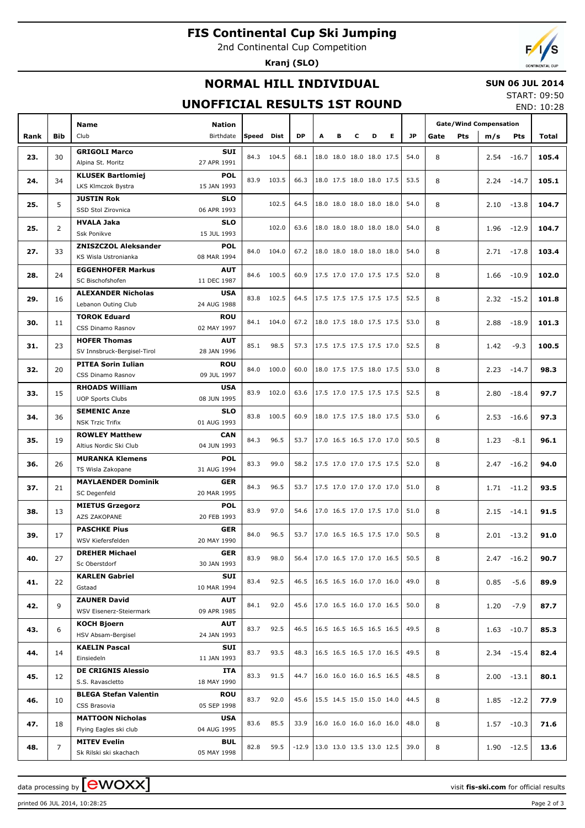# **FIS Continental Cup Ski Jumping**

2nd Continental Cup Competition

**Kranj (SLO)**



## **NORMAL HILL INDIVIDUAL**

### **SUN 06 JUL 2014**

## **UNOFFICIAL RESULTS 1ST ROUND**

START: 09:50 END: 10:28

|      |                |                                                                     |      |            |           |   |   |   |                          |                          |           | <b>Gate/Wind Compensation</b> |      |               |       |
|------|----------------|---------------------------------------------------------------------|------|------------|-----------|---|---|---|--------------------------|--------------------------|-----------|-------------------------------|------|---------------|-------|
|      | <b>Bib</b>     | <b>Name</b><br><b>Nation</b><br>Birthdate<br>Club                   |      | Speed Dist | <b>DP</b> | A | в | c | D                        | Е                        | <b>JP</b> | <b>Pts</b><br>Gate            |      | <b>Pts</b>    | Total |
| Rank |                |                                                                     |      |            |           |   |   |   |                          |                          |           |                               | m/s  |               |       |
| 23.  | 30             | <b>GRIGOLI Marco</b><br><b>SUI</b>                                  | 84.3 | 104.5      | 68.1      |   |   |   | 18.0 18.0 18.0 18.0 17.5 |                          | 54.0      | 8                             | 2.54 | $-16.7$       | 105.4 |
|      |                | 27 APR 1991<br>Alpina St. Moritz                                    |      |            |           |   |   |   |                          |                          |           |                               |      |               |       |
| 24.  | 34             | <b>POL</b><br><b>KLUSEK Bartlomiej</b>                              | 83.9 | 103.5      | 66.3      |   |   |   | 18.0 17.5 18.0 18.0 17.5 |                          | 53.5      | 8                             | 2.24 | $-14.7$       | 105.1 |
|      |                | 15 JAN 1993<br>LKS Klmczok Bystra                                   |      |            |           |   |   |   |                          |                          |           |                               |      |               |       |
| 25.  | 5              | <b>JUSTIN Rok</b><br><b>SLO</b>                                     |      | 102.5      | 64.5      |   |   |   | 18.0 18.0 18.0 18.0 18.0 |                          | 54.0      | 8                             | 2.10 | $-13.8$       | 104.7 |
|      |                | SSD Stol Zirovnica<br>06 APR 1993                                   |      |            |           |   |   |   |                          |                          |           |                               |      |               |       |
| 25.  | $\overline{2}$ | <b>HVALA Jaka</b><br><b>SLO</b>                                     |      | 102.0      | 63.6      |   |   |   | 18.0 18.0 18.0 18.0 18.0 |                          | 54.0      | 8                             | 1.96 | $-12.9$       | 104.7 |
|      |                | Ssk Ponikve<br>15 JUL 1993                                          |      |            |           |   |   |   |                          |                          |           |                               |      |               |       |
| 27.  | 33             | <b>ZNISZCZOL Aleksander</b><br><b>POL</b>                           | 84.0 | 104.0      | 67.2      |   |   |   | 18.0 18.0 18.0 18.0 18.0 |                          | 54.0      | 8                             | 2.71 | $-17.8$       | 103.4 |
|      |                | 08 MAR 1994<br>KS Wisla Ustronianka                                 |      |            |           |   |   |   |                          |                          |           |                               |      |               |       |
| 28.  | 24             | <b>EGGENHOFER Markus</b><br><b>AUT</b>                              | 84.6 | 100.5      | 60.9      |   |   |   | 17.5 17.0 17.0 17.5 17.5 |                          | 52.0      | 8                             | 1.66 | $-10.9$       | 102.0 |
|      |                | SC Bischofshofen<br>11 DEC 1987                                     |      |            |           |   |   |   |                          |                          |           |                               |      |               |       |
| 29.  | 16             | <b>ALEXANDER Nicholas</b><br><b>USA</b>                             | 83.8 | 102.5      | 64.5      |   |   |   | 17.5 17.5 17.5 17.5 17.5 |                          | 52.5      | 8                             | 2.32 | $-15.2$       | 101.8 |
|      |                | 24 AUG 1988<br>Lebanon Outing Club                                  |      |            |           |   |   |   |                          |                          |           |                               |      |               |       |
| 30.  | 11             | <b>TOROK Eduard</b><br><b>ROU</b>                                   | 84.1 | 104.0      | 67.2      |   |   |   | 18.0 17.5 18.0 17.5 17.5 |                          | 53.0      | 8                             | 2.88 | $-18.9$       | 101.3 |
|      |                | CSS Dinamo Rasnov<br>02 MAY 1997                                    |      |            |           |   |   |   |                          |                          |           |                               |      |               |       |
| 31.  | 23             | <b>HOFER Thomas</b><br><b>AUT</b>                                   | 85.1 | 98.5       | 57.3      |   |   |   | 17.5 17.5 17.5 17.5 17.0 |                          | 52.5      | 8                             | 1.42 | $-9.3$        | 100.5 |
|      |                | 28 JAN 1996<br>SV Innsbruck-Bergisel-Tirol                          |      |            |           |   |   |   |                          |                          |           |                               |      |               |       |
| 32.  | 20             | <b>PITEA Sorin Iulian</b><br><b>ROU</b>                             | 84.0 | 100.0      | 60.0      |   |   |   | 18.0 17.5 17.5 18.0 17.5 |                          | 53.0      | 8                             | 2.23 | $-14.7$       | 98.3  |
|      |                | 09 JUL 1997<br>CSS Dinamo Rasnov                                    |      |            |           |   |   |   |                          |                          |           |                               |      |               |       |
| 33.  | 15             | <b>RHOADS William</b><br><b>USA</b>                                 | 83.9 | 102.0      | 63.6      |   |   |   | 17.5 17.0 17.5 17.5 17.5 |                          | 52.5      | 8                             | 2.80 | $-18.4$       | 97.7  |
|      |                | <b>UOP Sports Clubs</b><br>08 JUN 1995                              |      |            |           |   |   |   |                          |                          |           |                               |      |               |       |
| 34.  | 36             | <b>SEMENIC Anze</b><br><b>SLO</b>                                   | 83.8 | 100.5      | 60.9      |   |   |   | 18.0 17.5 17.5 18.0 17.5 |                          | 53.0      | 6                             | 2.53 | $-16.6$       | 97.3  |
|      |                | 01 AUG 1993<br><b>NSK Trzic Trifix</b>                              |      |            |           |   |   |   |                          |                          |           |                               |      |               |       |
| 35.  | 19             | <b>ROWLEY Matthew</b><br><b>CAN</b>                                 | 84.3 | 96.5       | 53.7      |   |   |   | 17.0 16.5 16.5 17.0 17.0 |                          | 50.5      | 8                             | 1.23 | $-8.1$        | 96.1  |
|      |                | 04 JUN 1993<br>Altius Nordic Ski Club                               |      |            |           |   |   |   |                          |                          |           |                               |      |               |       |
| 36.  | 26             | <b>MURANKA Klemens</b><br><b>POL</b>                                | 83.3 | 99.0       | 58.2      |   |   |   | 17.5 17.0 17.0 17.5 17.5 |                          | 52.0      | 8                             | 2.47 | $-16.2$       | 94.0  |
|      |                | 31 AUG 1994<br>TS Wisla Zakopane                                    |      |            |           |   |   |   |                          |                          |           |                               |      |               |       |
| 37.  | 21             | <b>MAYLAENDER Dominik</b><br><b>GER</b>                             | 84.3 | 96.5       | 53.7      |   |   |   | 17.5 17.0 17.0 17.0 17.0 |                          | 51.0      | 8                             | 1.71 | $-11.2$       | 93.5  |
|      |                | SC Degenfeld<br>20 MAR 1995                                         |      |            |           |   |   |   |                          |                          |           |                               |      |               |       |
| 38.  | 13             | <b>POL</b><br><b>MIETUS Grzegorz</b>                                | 83.9 | 97.0       | 54.6      |   |   |   | 17.0 16.5 17.0 17.5 17.0 |                          | 51.0      | 8                             | 2.15 | $-14.1$       | 91.5  |
|      |                | AZS ZAKOPANE<br>20 FEB 1993                                         |      |            |           |   |   |   |                          |                          |           |                               |      |               |       |
| 39.  | 17             | <b>PASCHKE Pius</b><br><b>GER</b><br>20 MAY 1990                    | 84.0 | 96.5       | 53.7      |   |   |   | 17.0 16.5 16.5 17.5 17.0 |                          | 50.5      | 8                             | 2.01 | $-13.2$       | 91.0  |
|      |                | WSV Kiefersfelden                                                   |      |            |           |   |   |   |                          |                          |           |                               |      |               |       |
| 40.  | 27             | <b>GER</b><br><b>DREHER Michael</b><br>Sc Oberstdorf<br>30 JAN 1993 | 83.9 | 98.0       | 56.4      |   |   |   | 17.0 16.5 17.0 17.0 16.5 |                          | 50.5      | 8                             |      | $2.47 - 16.2$ | 90.7  |
|      |                |                                                                     |      |            |           |   |   |   |                          |                          |           |                               |      |               |       |
| 41.  | 22             | <b>KARLEN Gabriel</b><br>SUI<br>Gstaad<br>10 MAR 1994               | 83.4 | 92.5       | 46.5      |   |   |   | 16.5 16.5 16.0 17.0 16.0 |                          | 49.0      | 8                             | 0.85 | $-5.6$        | 89.9  |
|      |                | <b>ZAUNER David</b><br><b>AUT</b>                                   |      |            |           |   |   |   |                          |                          |           |                               |      |               |       |
| 42.  | 9              | WSV Eisenerz-Steiermark<br>09 APR 1985                              | 84.1 | 92.0       | 45.6      |   |   |   | 17.0 16.5 16.0 17.0 16.5 |                          | 50.0      | 8                             | 1.20 | $-7.9$        | 87.7  |
|      |                | <b>KOCH Bjoern</b><br><b>AUT</b>                                    |      |            |           |   |   |   |                          |                          |           |                               |      |               |       |
| 43.  | 6              | HSV Absam-Bergisel<br>24 JAN 1993                                   | 83.7 | 92.5       | 46.5      |   |   |   | 16.5 16.5 16.5 16.5 16.5 |                          | 49.5      | 8                             |      | $1.63 - 10.7$ | 85.3  |
|      |                | <b>KAELIN Pascal</b><br>SUI                                         |      |            |           |   |   |   |                          |                          |           |                               |      |               |       |
| 44.  | 14             | Einsiedeln<br>11 JAN 1993                                           | 83.7 | 93.5       | 48.3      |   |   |   | 16.5 16.5 16.5 17.0 16.5 |                          | 49.5      | 8                             |      | $2.34 - 15.4$ | 82.4  |
|      |                | <b>DE CRIGNIS Alessio</b><br>ITA                                    |      |            |           |   |   |   |                          |                          |           |                               |      |               |       |
| 45.  | 12             | S.S. Ravascletto<br>18 MAY 1990                                     | 83.3 | 91.5       | 44.7      |   |   |   | 16.0 16.0 16.0 16.5 16.5 |                          | 48.5      | 8                             |      | $2.00 - 13.1$ | 80.1  |
|      |                | <b>BLEGA Stefan Valentin</b><br><b>ROU</b>                          |      |            |           |   |   |   |                          |                          |           |                               |      |               |       |
| 46.  | 10             | CSS Brasovia<br>05 SEP 1998                                         | 83.7 | 92.0       | 45.6      |   |   |   |                          | 15.5 14.5 15.0 15.0 14.0 | 44.5      | 8                             |      | $1.85 - 12.2$ | 77.9  |
|      |                | <b>MATTOON Nicholas</b><br><b>USA</b>                               |      |            |           |   |   |   |                          |                          |           |                               |      |               |       |
| 47.  | 18             | 04 AUG 1995<br>Flying Eagles ski club                               | 83.6 | 85.5       | 33.9      |   |   |   | 16.0 16.0 16.0 16.0 16.0 |                          | 48.0      | 8                             |      | $1.57 - 10.3$ | 71.6  |
|      |                | <b>MITEV Evelin</b><br><b>BUL</b>                                   |      |            |           |   |   |   |                          |                          |           |                               |      |               |       |
| 48.  | $\overline{7}$ | 05 MAY 1998<br>Sk Rilski ski skachach                               | 82.8 | 59.5       | $-12.9$   |   |   |   | 13.0 13.0 13.5 13.0 12.5 |                          | 39.0      | 8                             |      | $1.90 - 12.5$ | 13.6  |
|      |                |                                                                     |      |            |           |   |   |   |                          |                          |           |                               |      |               |       |

data processing by **CWOXX** and  $\overline{C}$  and  $\overline{C}$  and  $\overline{C}$  and  $\overline{C}$  and  $\overline{C}$  and  $\overline{C}$  and  $\overline{C}$  and  $\overline{C}$  and  $\overline{C}$  and  $\overline{C}$  and  $\overline{C}$  and  $\overline{C}$  and  $\overline{C}$  and  $\overline{C}$  and  $\overline{C}$